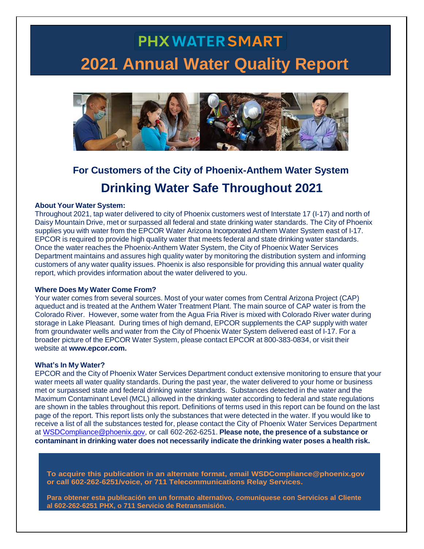# **PHX WATER SMART 2021 Annual Water Quality Report**



### **For Customers of the City of Phoenix-Anthem Water System Drinking Water Safe Throughout 2021**

#### **About Your Water System:**

Throughout 2021, tap water delivered to city of Phoenix customers west of Interstate 17 (I-17) and north of Daisy Mountain Drive, met or surpassed all federal and state drinking water standards. The City of Phoenix supplies you with water from the EPCOR Water Arizona Incorporated Anthem Water System east of I-17. EPCOR is required to provide high quality water that meets federal and state drinking water standards. Once the water reaches the Phoenix-Anthem Water System, the City of Phoenix Water Services Department maintains and assures high quality water by monitoring the distribution system and informing customers of any water quality issues. Phoenix is also responsible for providing this annual water quality report, which provides information about the water delivered to you.

#### **Where Does My Water Come From?**

Your water comes from several sources. Most of your water comes from Central Arizona Project (CAP) aqueduct and is treated at the Anthem Water Treatment Plant. The main source of CAP water is from the Colorado River. However, some water from the Agua Fria River is mixed with Colorado River water during storage in Lake Pleasant. During times of high demand, EPCOR supplements the CAP supply with water from groundwater wells and water from the City of Phoenix Water System delivered east of I-17. For a broader picture of the EPCOR Water System, please contact EPCOR at 800-383-0834, or visit their website at **www[.epcor.com.](http://www.epcor.com/)**

#### **What's In My Water?**

EPCOR and the City of Phoenix Water Services Department conduct extensive monitoring to ensure that your water meets all water quality standards. During the past year, the water delivered to your home or business met or surpassed state and federal drinking water standards. Substances detected in the water and the Maximum Contaminant Level (MCL) allowed in the drinking water according to federal and state regulations are shown in the tables throughout this report. Definitions of terms used in this report can be found on the last page of the report. This report lists only the substances that were detected in the water. If you would like to receive a list of all the substances tested for, please contact the City of Phoenix Water Services Department at [WSDCompliance@phoenix.gov,](mailto:WSDCompliance@phoenix.gov) or call 602-262-6251. **Please note, the presence of a substance or contaminant in drinking water does not necessarily indicate the drinking water poses a health risk.**

**To acquire this publication in an alternate format, email WSDCompliance@phoenix.gov or call 602-262-6251/voice, or 711 Telecommunications Relay Services.**

**Para obtener esta publicación en un formato alternativo, comuníquese con Servicios al Cliente al 602-262-6251 PHX, o 711 Servicio de Retransmisión.**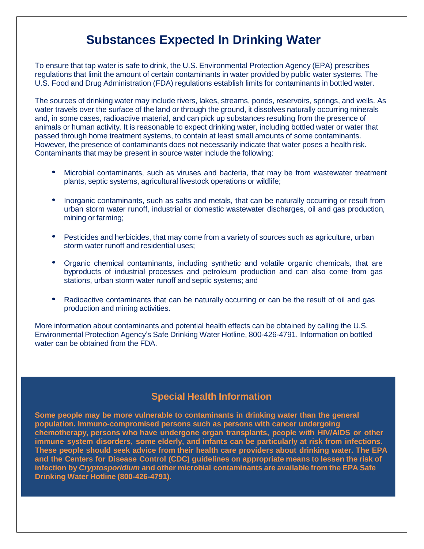#### **Substances Expected In Drinking Water**

To ensure that tap water is safe to drink, the U.S. Environmental Protection Agency (EPA) prescribes regulations that limit the amount of certain contaminants in water provided by public water systems. The U.S. Food and Drug Administration (FDA) regulations establish limits for contaminants in bottled water.

The sources of drinking water may include rivers, lakes, streams, ponds, reservoirs, springs, and wells. As water travels over the surface of the land or through the ground, it dissolves naturally occurring minerals and, in some cases, radioactive material, and can pick up substances resulting from the presence of animals or human activity. It is reasonable to expect drinking water, including bottled water or water that passed through home treatment systems, to contain at least small amounts of some contaminants. However, the presence of contaminants does not necessarily indicate that water poses a health risk. Contaminants that may be present in source water include the following:

- Microbial contaminants, such as viruses and bacteria, that may be from wastewater treatment plants, septic systems, agricultural livestock operations or wildlife;
- Inorganic contaminants, such as salts and metals, that can be naturally occurring or result from urban storm water runoff, industrial or domestic wastewater discharges, oil and gas production, mining or farming;
- Pesticides and herbicides, that may come from a variety of sources such as agriculture, urban storm water runoff and residential uses;
- Organic chemical contaminants, including synthetic and volatile organic chemicals, that are byproducts of industrial processes and petroleum production and can also come from gas stations, urban storm water runoff and septic systems; and
- Radioactive contaminants that can be naturally occurring or can be the result of oil and gas production and mining activities.

More information about contaminants and potential health effects can be obtained by calling the U.S. Environmental Protection Agency's Safe Drinking Water Hotline, 800-426-4791. Information on bottled water can be obtained from the FDA.

#### **Special Health Information**

**Some people may be more vulnerable to contaminants in drinking water than the general population. Immuno-compromised persons such as persons with cancer undergoing chemotherapy, persons who have undergone organ transplants, people with HIV/AIDS or other immune system disorders, some elderly, and infants can be particularly at risk from infections. These people should seek advice from their health care providers about drinking water. The EPA and the Centers for Disease Control (CDC) guidelines on appropriate means to lessen the risk of infection by** *Cryptosporidium* **and other microbial contaminants are available from the EPA Safe Drinking Water Hotline (800-426-4791).**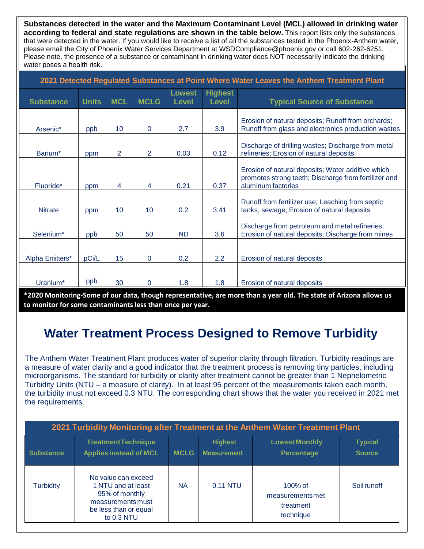**Substances detected in the water and the Maximum Contaminant Level (MCL) allowed in drinking water according to federal and state regulations are shown in the table below.** This report lists only the substances that were detected in the water. If you would like to receive a list of all the substances tested in the Phoenix-Anthem water, please email the City of Phoenix Water Services Department at WSDCompliance@phoenix.gov or call 602-262-6251. Please note, the presence of a substance or contaminant in drinking water does NOT necessarily indicate the drinking water poses a health risk.

| 2021 Detected Regulated Substances at Point Where Water Leaves the Anthem Treatment Plant |              |            |                 |                               |                                |                                                                                                                                 |  |  |
|-------------------------------------------------------------------------------------------|--------------|------------|-----------------|-------------------------------|--------------------------------|---------------------------------------------------------------------------------------------------------------------------------|--|--|
| <b>Substance</b>                                                                          | <b>Units</b> | <b>MCL</b> | <b>MCLG</b>     | <b>Lowest</b><br><b>Level</b> | <b>Highest</b><br><b>Level</b> | <b>Typical Source of Substance</b>                                                                                              |  |  |
| Arsenic*                                                                                  | ppb          | 10         | $\Omega$        | 2.7                           | 3.9                            | Erosion of natural deposits; Runoff from orchards;<br>Runoff from glass and electronics production wastes                       |  |  |
| Barium*                                                                                   | ppm          | 2          | $\overline{2}$  | 0.03                          | 0.12                           | Discharge of drilling wastes; Discharge from metal<br>refineries; Erosion of natural deposits                                   |  |  |
| Fluoride*                                                                                 | ppm          | 4          | 4               | 0.21                          | 0.37                           | Erosion of natural deposits; Water additive which<br>promotes strong teeth; Discharge from fertilizer and<br>aluminum factories |  |  |
| <b>Nitrate</b>                                                                            | ppm          | 10         | 10 <sup>°</sup> | 0.2                           | 3.41                           | Runoff from fertilizer use; Leaching from septic<br>tanks, sewage; Erosion of natural deposits                                  |  |  |
| Selenium*                                                                                 | ppb          | 50         | 50              | <b>ND</b>                     | 3.6                            | Discharge from petroleum and metal refineries;<br>Erosion of natural deposits; Discharge from mines                             |  |  |
| Alpha Emitters*                                                                           | pCi/L        | 15         | $\Omega$        | 0.2                           | 2.2                            | Erosion of natural deposits                                                                                                     |  |  |
| Uranium*                                                                                  | ppb          | 30         | 0               | 1.8                           | 1.8                            | Erosion of natural deposits                                                                                                     |  |  |

 **to monitor for some contaminants less than once per year.\*2020 Monitoring-Some of our data, though representative, are more than a year old. The state of Arizona allows us** 

### **Water Treatment Process Designed to Remove Turbidity**

The Anthem Water Treatment Plant produces water of superior clarity through filtration. Turbidity readings are a measure of water clarity and a good indicator that the treatment process is removing tiny particles, including microorganisms. The standard for turbidity or clarity after treatment cannot be greater than 1 Nephelometric Turbidity Units (NTU – a measure of clarity). In at least 95 percent of the measurements taken each month, the turbidity must not exceed 0.3 NTU. The corresponding chart shows that the water you received in 2021 met the requirements.

| 2021 Turbidity Monitoring after Treatment at the Anthem Water Treatment Plant |                                                                                                                         |             |                                      |                                                         |                                 |  |  |  |  |
|-------------------------------------------------------------------------------|-------------------------------------------------------------------------------------------------------------------------|-------------|--------------------------------------|---------------------------------------------------------|---------------------------------|--|--|--|--|
| <b>Substance</b>                                                              | <b>TreatmentTechnique</b><br><b>Applies instead of MCL</b>                                                              | <b>MCLG</b> | <b>Highest</b><br><b>Measurement</b> | <b>Lowest Monthly</b><br><b>Percentage</b>              | <b>Typical</b><br><b>Source</b> |  |  |  |  |
| <b>Turbidity</b>                                                              | No value can exceed<br>1 NTU and at least<br>95% of monthly<br>measurements must<br>be less than or equal<br>to 0.3 NTU | <b>NA</b>   | 0.11 NTU                             | $100\%$ of<br>measurementsmet<br>treatment<br>technique | Soil runoff                     |  |  |  |  |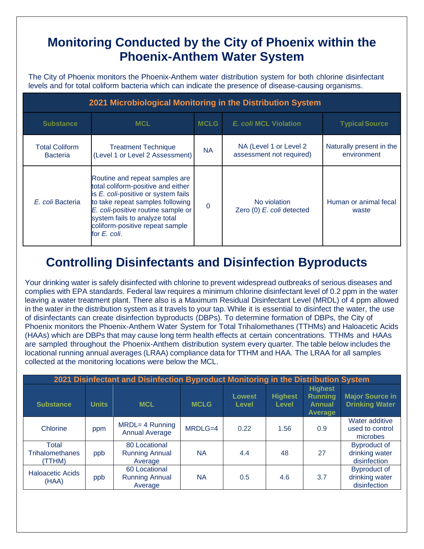#### **Monitoring Conducted by the City of Phoenix within the Phoenix-Anthem Water System**

The City of Phoenix monitors the Phoenix-Anthem water distribution system for both chlorine disinfectant levels and for total coliform bacteria which can indicate the presence of disease-causing organisms.

| 2021 Microbiological Monitoring in the Distribution System |                                                                                                                                                                                                                                                                           |                                      |                                                    |                                         |  |  |  |
|------------------------------------------------------------|---------------------------------------------------------------------------------------------------------------------------------------------------------------------------------------------------------------------------------------------------------------------------|--------------------------------------|----------------------------------------------------|-----------------------------------------|--|--|--|
| <b>Substance</b>                                           | <b>MCL</b>                                                                                                                                                                                                                                                                | <b>MCLG</b><br>E. coli MCL Violation |                                                    | <b>Typical Source</b>                   |  |  |  |
| <b>Total Coliform</b><br><b>Bacteria</b>                   | <b>Treatment Technique</b><br>(Level 1 or Level 2 Assessment)                                                                                                                                                                                                             | <b>NA</b>                            | NA (Level 1 or Level 2<br>assessment not required) | Naturally present in the<br>environment |  |  |  |
| E. coli Bacteria                                           | Routine and repeat samples are<br>total coliform-positive and either<br>is E. coli-positive or system fails<br>to take repeat samples following<br>E. coli-positive routine sample or<br>system fails to analyze total<br>coliform-positive repeat sample<br>for E. coli. | $\Omega$                             | No violation<br>Zero (0) E. coli detected          | Human or animal fecal<br>waste          |  |  |  |

### **Controlling Disinfectants and Disinfection Byproducts**

Your drinking water is safely disinfected with chlorine to prevent widespread outbreaks of serious diseases and complies with EPA standards. Federal law requires a minimum chlorine disinfectant level of 0.2 ppm in the water leaving a water treatment plant. There also is a Maximum Residual Disinfectant Level (MRDL) of 4 ppm allowed in the water in the distribution system as it travels to your tap. While it is essential to disinfect the water, the use of disinfectants can create disinfection byproducts (DBPs). To determine formation of DBPs, the City of Phoenix monitors the Phoenix-Anthem Water System for Total Trihalomethanes (TTHMs) and Haloacetic Acids (HAAs) which are DBPs that may cause long term health effects at certain concentrations. TTHMs and HAAs are sampled throughout the Phoenix-Anthem distribution system every quarter. The table below includes the locational running annual averages (LRAA) compliance data for TTHM and HAA. The LRAA for all samples collected at the monitoring locations were below the MCL.

| 2021 Disinfectant and Disinfection Byproduct Monitoring in the Distribution System |              |                                                   |             |                               |                                |                                                                     |                                                       |  |  |
|------------------------------------------------------------------------------------|--------------|---------------------------------------------------|-------------|-------------------------------|--------------------------------|---------------------------------------------------------------------|-------------------------------------------------------|--|--|
| <b>Substance</b>                                                                   | <b>Units</b> | <b>MCL</b>                                        | <b>MCLG</b> | <b>Lowest</b><br><b>Level</b> | <b>Highest</b><br><b>Level</b> | <b>Highest</b><br><b>Running</b><br><b>Annual</b><br><b>Average</b> | <b>Major Source in</b><br><b>Drinking Water</b>       |  |  |
| Chlorine                                                                           | ppm          | MRDL= 4 Running<br><b>Annual Average</b>          | MRDLG=4     | 0.22                          | 1.56                           | 0.9                                                                 | Water additive<br>used to control<br>microbes         |  |  |
| Total<br><b>Trihalomethanes</b><br>(TTHM)                                          | ppb          | 80 Locational<br><b>Running Annual</b><br>Average | <b>NA</b>   | 4.4                           | 48                             | 27                                                                  | <b>Byproduct of</b><br>drinking water<br>disinfection |  |  |
| <b>Haloacetic Acids</b><br>(HAA)                                                   | ppb          | 60 Locational<br><b>Running Annual</b><br>Average | <b>NA</b>   | 0.5                           | 4.6                            | 3.7                                                                 | <b>Byproduct of</b><br>drinking water<br>disinfection |  |  |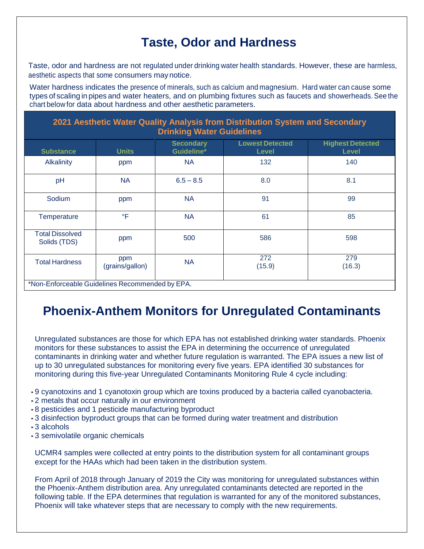### **Taste, Odor and Hardness**

Taste, odor and hardness are not regulated under drinking water health standards. However, these are harmless, aesthetic aspects that some consumers maynotice.

Water hardness indicates the presence of minerals, such as calcium and magnesium. Hard water can cause some types of scaling in pipes and water heaters, and on plumbing fixtures such as faucets and showerheads.See the chart below for data about hardness and other aesthetic parameters.

| 2021 Aesthetic Water Quality Analysis from Distribution System and Secondary<br><b>Drinking Water Guidelines</b> |                        |                                |                                        |                                         |  |  |  |
|------------------------------------------------------------------------------------------------------------------|------------------------|--------------------------------|----------------------------------------|-----------------------------------------|--|--|--|
| <b>Substance</b>                                                                                                 | <b>Units</b>           | <b>Secondary</b><br>Guideline* | <b>Lowest Detected</b><br><b>Level</b> | <b>Highest Detected</b><br><b>Level</b> |  |  |  |
| Alkalinity                                                                                                       | ppm                    | <b>NA</b>                      | 132                                    | 140                                     |  |  |  |
| pH                                                                                                               | <b>NA</b>              | $6.5 - 8.5$                    | 8.0                                    | 8.1                                     |  |  |  |
| Sodium                                                                                                           | ppm                    | <b>NA</b>                      | 91                                     | 99                                      |  |  |  |
| <b>Temperature</b>                                                                                               | $\mathsf{P}$           | <b>NA</b>                      | 61                                     | 85                                      |  |  |  |
| <b>Total Dissolved</b><br>Solids (TDS)                                                                           | ppm                    | 500                            | 586                                    | 598                                     |  |  |  |
| <b>Total Hardness</b>                                                                                            | ppm<br>(grains/gallon) | <b>NA</b>                      | 272<br>(15.9)                          | 279<br>(16.3)                           |  |  |  |

\*Non-Enforceable Guidelines Recommended by EPA.

#### **Phoenix-Anthem Monitors for Unregulated Contaminants**

Unregulated substances are those for which EPA has not established drinking water standards. Phoenix monitors for these substances to assist the EPA in determining the occurrence of unregulated contaminants in drinking water and whether future regulation is warranted. The EPA issues a new list of up to 30 unregulated substances for monitoring every five years. EPA identified 30 substances for monitoring during this five-year Unregulated Contaminants Monitoring Rule 4 cycle including:

- 9 cyanotoxins and 1 cyanotoxin group which are toxins produced by a bacteria called cyanobacteria.
- 2 metals that occur naturally in our environment
- 8 pesticides and 1 pesticide manufacturing byproduct
- 3 disinfection byproduct groups that can be formed during water treatment and distribution
- 3 alcohols
- 3 semivolatile organic chemicals

UCMR4 samples were collected at entry points to the distribution system for all contaminant groups except for the HAAs which had been taken in the distribution system.

From April of 2018 through January of 2019 the City was monitoring for unregulated substances within the Phoenix-Anthem distribution area. Any unregulated contaminants detected are reported in the following table. If the EPA determines that regulation is warranted for any of the monitored substances, Phoenix will take whatever steps that are necessary to comply with the new requirements.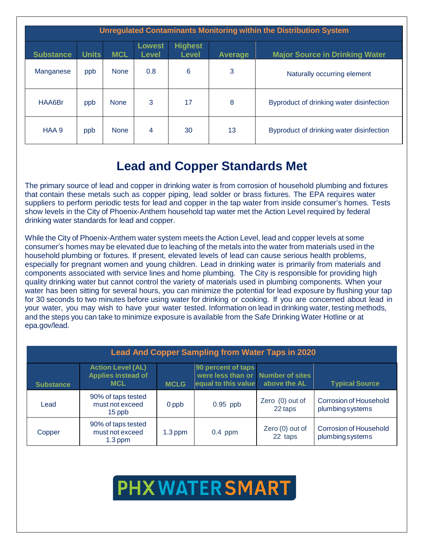| Unregulated Contaminants Monitoring within the Distribution System |              |             |                               |                                |                |                                          |  |  |  |
|--------------------------------------------------------------------|--------------|-------------|-------------------------------|--------------------------------|----------------|------------------------------------------|--|--|--|
| <b>Substance</b>                                                   | <b>Units</b> | <b>MCL</b>  | <b>Lowest</b><br><b>Level</b> | <b>Highest</b><br><b>Level</b> | <b>Average</b> | <b>Major Source in Drinking Water</b>    |  |  |  |
| Manganese                                                          | ppb          | <b>None</b> | 0.8                           | 6                              | 3              | Naturally occurring element              |  |  |  |
| HAA6Br                                                             | ppb          | <b>None</b> | 3                             | 17                             | 8              | Byproduct of drinking water disinfection |  |  |  |
| HAA 9                                                              | ppb          | <b>None</b> | 4                             | 30                             | 13             | Byproduct of drinking water disinfection |  |  |  |

#### **Lead and Copper Standards Met**

The primary source of lead and copper in drinking water is from corrosion of household plumbing and fixtures that contain these metals such as copper piping, lead solder or brass fixtures. The EPA requires water suppliers to perform periodic tests for lead and copper in the tap water from inside consumer's homes. Tests show levels in the City of Phoenix-Anthem household tap water met the Action Level required by federal drinking water standards for lead and copper.

While the City of Phoenix-Anthem water system meets the Action Level, lead and copper levels at some consumer's homes may be elevated due to leaching of the metals into the water from materials used in the household plumbing or fixtures. If present, elevated levels of lead can cause serious health problems, especially for pregnant women and young children. Lead in drinking water is primarily from materials and components associated with service lines and home plumbing. The City is responsible for providing high quality drinking water but cannot control the variety of materials used in plumbing components. When your water has been sitting for several hours, you can minimize the potential for lead exposure by flushing your tap for 30 seconds to two minutes before using water for drinking or cooking. If you are concerned about lead in your water, you may wish to have your water tested. Information on lead in drinking water, testing methods, and the steps you can take to minimize exposure is available from the Safe Drinking Water Hotline or at epa.gov/lead.

| <b>Lead And Copper Sampling from Water Taps in 2020</b> |                                                                     |             |                                                                                |                            |                                                  |  |  |  |
|---------------------------------------------------------|---------------------------------------------------------------------|-------------|--------------------------------------------------------------------------------|----------------------------|--------------------------------------------------|--|--|--|
| <b>Substance</b>                                        | <b>Action Level (AL)</b><br><b>Applies instead of</b><br><b>MCL</b> | <b>MCLG</b> | 90 percent of taps<br>were less than or Number of sites<br>equal to this value | above the AL               | <b>Typical Source</b>                            |  |  |  |
| Lead                                                    | 90% of taps tested<br>must not exceed<br>15 ppb                     | 0 ppb       | $0.95$ ppb                                                                     | Zero (0) out of<br>22 taps | <b>Corrosion of Household</b><br>plumbingsystems |  |  |  |
| Copper                                                  | 90% of taps tested<br>must not exceed<br>$1.3$ ppm                  | $1.3$ ppm   | $0.4$ ppm                                                                      | Zero (0) out of<br>22 taps | Corrosion of Household<br>plumbingsystems        |  |  |  |

# **PHX WATER SMART**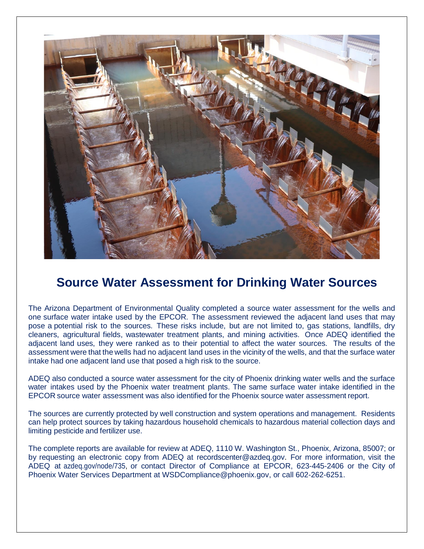

#### **Source Water Assessment for Drinking Water Sources**

The Arizona Department of Environmental Quality completed a source water assessment for the wells and one surface water intake used by the EPCOR. The assessment reviewed the adjacent land uses that may pose a potential risk to the sources. These risks include, but are not limited to, gas stations, landfills, dry cleaners, agricultural fields, wastewater treatment plants, and mining activities. Once ADEQ identified the adjacent land uses, they were ranked as to their potential to affect the water sources. The results of the assessment were that the wells had no adjacent land uses in the vicinity of the wells, and that the surface water intake had one adjacent land use that posed a high risk to the source.

ADEQ also conducted a source water assessment for the city of Phoenix drinking water wells and the surface water intakes used by the Phoenix water treatment plants. The same surface water intake identified in the EPCOR source water assessment was also identified for the Phoenix source water assessment report.

The sources are currently protected by well construction and system operations and management. Residents can help protect sources by taking hazardous household chemicals to hazardous material collection days and limiting pesticide and fertilizer use.

The complete reports are available for review at ADEQ, 1110 W. Washington St., Phoenix, Arizona, 85007; or by requesting an electronic copy from ADEQ at recordscenter@azdeq.gov. For more information, visit the ADEQ at [azdeq.gov/node/735,](http://www.azdeq.gov/node/735) or contact Director of Compliance at EPCOR, 623-445-2406 or the City of Phoenix Water Services Department at WSDCompliance@phoenix.gov, or call 602-262-6251.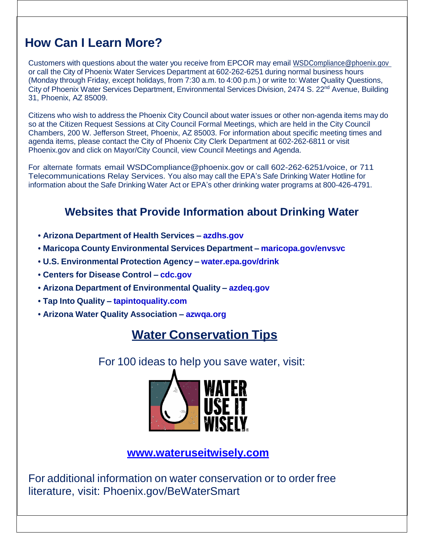#### **How Can I Learn More?**

Customers with questions about the water you receive from EPCOR may email [WSDCompliance@phoenix.gov](mailto:WSDCompliance@phoenix.gov)  or call the City of Phoenix Water Services Department at 602-262-6251 during normal business hours (Monday through Friday, except holidays, from 7:30 a.m. to 4:00 p.m.) or write to: Water Quality Questions, City of Phoenix Water Services Department, Environmental Services Division, 2474 S. 22<sup>nd</sup> Avenue, Building 31, Phoenix, AZ 85009.

Citizens who wish to address the Phoenix City Council about water issues or other non-agenda items may do so at the Citizen Request Sessions at City Council Formal Meetings, which are held in the City Council Chambers, 200 W. Jefferson Street, Phoenix, AZ 85003. For information about specific meeting times and agenda items, please contact the City of Phoenix City Clerk Department at 602-262-6811 or visit Phoenix.gov and click on Mayor/City Council, view Council Meetings and Agenda.

For alternate formats email WSDCompliance@phoenix.gov or call 602-262-6251/voice, or 711 Telecommunications Relay Services. You also may call the EPA's Safe Drinking Water Hotline for information about the Safe Drinking Water Act or EPA's other drinking water programs at 800-426-4791.

#### **Websites that Provide Information about Drinking Water**

- **• Arizona Department of Health Services – azdhs.gov**
- **• Maricopa County Environmental Services Department – maricopa.gov/envsvc**
- **• U.S. Environmental Protection Agency – water.epa.gov/drink**
- **• Centers for Disease Control – cdc.gov**
- **• Arizona Department of Environmental Quality – azdeq.gov**
- **• Tap Into Quality – tapintoquality.com**
- **• Arizona Water Quality Association – azwqa.org**

#### **Water Conservation Tips**

For 100 ideas to help you save water, visit:



**[www.wateruseitwisely.com](http://www.wateruseitwisely.com/)**

For additional information on water conservation or to order free literature, visit: Phoenix.gov/BeWaterSmart